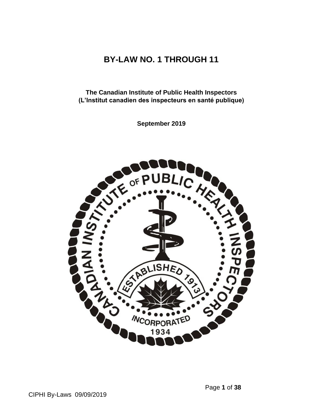# **BY-LAW NO. 1 THROUGH 11**

**The Canadian Institute of Public Health Inspectors (L'Institut canadien des inspecteurs en santé publique)** 

**September 2019**

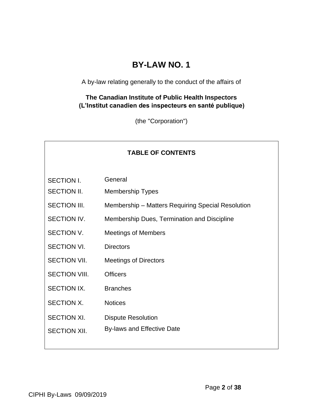# **BY-LAW NO. 1**

A by-law relating generally to the conduct of the affairs of

#### **The Canadian Institute of Public Health Inspectors (L'Institut canadien des inspecteurs en santé publique)**

(the "Corporation")

| <b>TABLE OF CONTENTS</b> |                                                   |
|--------------------------|---------------------------------------------------|
| <b>SECTION I.</b>        | General                                           |
| SECTION II.              | <b>Membership Types</b>                           |
| <b>SECTION III.</b>      | Membership - Matters Requiring Special Resolution |
| <b>SECTION IV.</b>       | Membership Dues, Termination and Discipline       |
| SECTION V.               | <b>Meetings of Members</b>                        |
| <b>SECTION VI.</b>       | <b>Directors</b>                                  |
| <b>SECTION VII.</b>      | <b>Meetings of Directors</b>                      |
| <b>SECTION VIII.</b>     | <b>Officers</b>                                   |
| <b>SECTION IX.</b>       | <b>Branches</b>                                   |
| SECTION X.               | <b>Notices</b>                                    |
| <b>SECTION XI.</b>       | <b>Dispute Resolution</b>                         |
| <b>SECTION XII.</b>      | By-laws and Effective Date                        |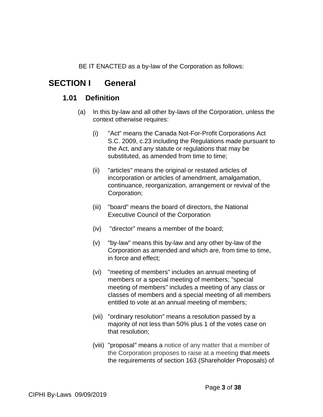BE IT ENACTED as a by-law of the Corporation as follows:

# **SECTION I General**

### **1.01 Definition**

- (a) In this by-law and all other by-laws of the Corporation, unless the context otherwise requires:
	- (i) "Act" means the Canada Not-For-Profit Corporations Act S.C. 2009, c.23 including the Regulations made pursuant to the Act, and any statute or regulations that may be substituted, as amended from time to time;
	- (ii) "articles" means the original or restated articles of incorporation or articles of amendment, amalgamation, continuance, reorganization, arrangement or revival of the Corporation;
	- (iii) "board" means the board of directors, the National Executive Council of the Corporation
	- (iv) "director" means a member of the board;
	- (v) "by-law" means this by-law and any other by-law of the Corporation as amended and which are, from time to time, in force and effect;
	- (vi) "meeting of members" includes an annual meeting of members or a special meeting of members; "special meeting of members" includes a meeting of any class or classes of members and a special meeting of all members entitled to vote at an annual meeting of members;
	- (vii) "ordinary resolution" means a resolution passed by a majority of not less than 50% plus 1 of the votes case on that resolution;
	- (viii) "proposal" means a notice of any matter that a member of the Corporation proposes to raise at a meeting that meets the requirements of section 163 (Shareholder Proposals) of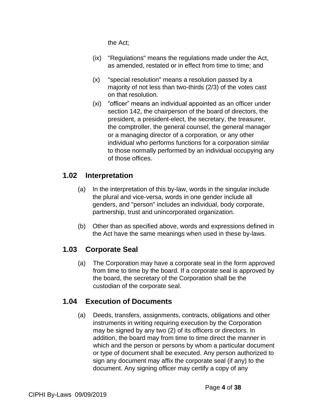the Act;

- (ix) "Regulations" means the regulations made under the Act, as amended, restated or in effect from time to time; and
- (x) "special resolution" means a resolution passed by a majority of not less than two-thirds (2/3) of the votes cast on that resolution.
- (xi) "officer" means an individual appointed as an officer under section 142, the chairperson of the board of directors, the president, a president-elect, the secretary, the treasurer, the comptroller, the general counsel, the general manager or a managing director of a corporation, or any other individual who performs functions for a corporation similar to those normally performed by an individual occupying any of those offices.

# **1.02 Interpretation**

- (a) In the interpretation of this by-law, words in the singular include the plural and vice-versa, words in one gender include all genders, and "person" includes an individual, body corporate, partnership, trust and unincorporated organization.
- (b) Other than as specified above, words and expressions defined in the Act have the same meanings when used in these by-laws.

# **1.03 Corporate Seal**

(a) The Corporation may have a corporate seal in the form approved from time to time by the board. If a corporate seal is approved by the board, the secretary of the Corporation shall be the custodian of the corporate seal.

# **1.04 Execution of Documents**

(a) Deeds, transfers, assignments, contracts, obligations and other instruments in writing requiring execution by the Corporation may be signed by any two (2) of its officers or directors. In addition, the board may from time to time direct the manner in which and the person or persons by whom a particular document or type of document shall be executed. Any person authorized to sign any document may affix the corporate seal (if any) to the document. Any signing officer may certify a copy of any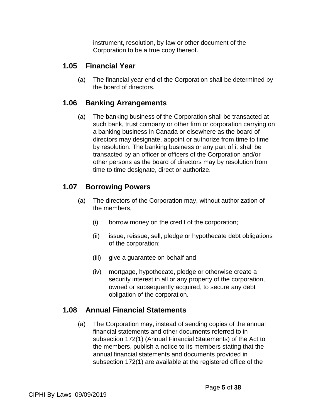instrument, resolution, by-law or other document of the Corporation to be a true copy thereof.

### **1.05 Financial Year**

(a) The financial year end of the Corporation shall be determined by the board of directors.

#### **1.06 Banking Arrangements**

(a) The banking business of the Corporation shall be transacted at such bank, trust company or other firm or corporation carrying on a banking business in Canada or elsewhere as the board of directors may designate, appoint or authorize from time to time by resolution. The banking business or any part of it shall be transacted by an officer or officers of the Corporation and/or other persons as the board of directors may by resolution from time to time designate, direct or authorize.

## **1.07 Borrowing Powers**

- (a) The directors of the Corporation may, without authorization of the members,
	- (i) borrow money on the credit of the corporation;
	- (ii) issue, reissue, sell, pledge or hypothecate debt obligations of the corporation;
	- (iii) give a guarantee on behalf and
	- (iv) mortgage, hypothecate, pledge or otherwise create a security interest in all or any property of the corporation, owned or subsequently acquired, to secure any debt obligation of the corporation.

### **1.08 Annual Financial Statements**

(a) The Corporation may, instead of sending copies of the annual financial statements and other documents referred to in subsection 172(1) (Annual Financial Statements) of the Act to the members, publish a notice to its members stating that the annual financial statements and documents provided in subsection 172(1) are available at the registered office of the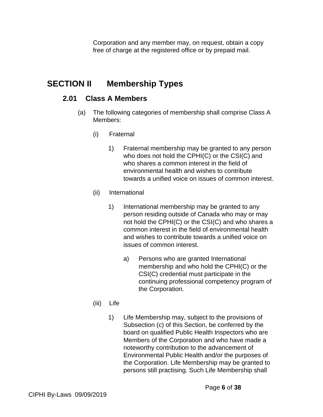Corporation and any member may, on request, obtain a copy free of charge at the registered office or by prepaid mail.

# **SECTION II Membership Types**

#### **2.01 Class A Members**

- (a) The following categories of membership shall comprise Class A Members:
	- (i) Fraternal
		- 1) Fraternal membership may be granted to any person who does not hold the CPHI(C) or the CSI(C) and who shares a common interest in the field of environmental health and wishes to contribute towards a unified voice on issues of common interest.
	- (ii) International
		- 1) International membership may be granted to any person residing outside of Canada who may or may not hold the CPHI(C) or the CSI(C) and who shares a common interest in the field of environmental health and wishes to contribute towards a unified voice on issues of common interest.
			- a) Persons who are granted International membership and who hold the CPHI(C) or the CSI(C) credential must participate in the continuing professional competency program of the Corporation.
	- (iii) Life
		- 1) Life Membership may, subject to the provisions of Subsection (c) of this Section, be conferred by the board on qualified Public Health Inspectors who are Members of the Corporation and who have made a noteworthy contribution to the advancement of Environmental Public Health and/or the purposes of the Corporation. Life Membership may be granted to persons still practising. Such Life Membership shall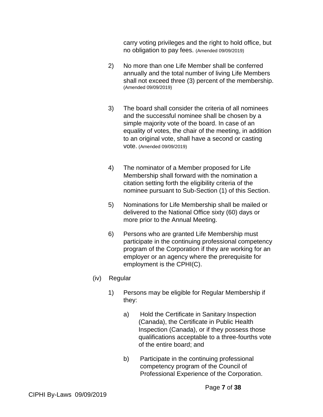carry voting privileges and the right to hold office, but no obligation to pay fees. (Amended 09/09/2019)

- 2) No more than one Life Member shall be conferred annually and the total number of living Life Members shall not exceed three (3) percent of the membership. (Amended 09/09/2019)
- 3) The board shall consider the criteria of all nominees and the successful nominee shall be chosen by a simple majority vote of the board. In case of an equality of votes, the chair of the meeting, in addition to an original vote, shall have a second or casting vote. (Amended 09/09/2019)
- 4) The nominator of a Member proposed for Life Membership shall forward with the nomination a citation setting forth the eligibility criteria of the nominee pursuant to Sub-Section (1) of this Section.
- 5) Nominations for Life Membership shall be mailed or delivered to the National Office sixty (60) days or more prior to the Annual Meeting.
- 6) Persons who are granted Life Membership must participate in the continuing professional competency program of the Corporation if they are working for an employer or an agency where the prerequisite for employment is the CPHI(C).
- (iv) Regular
	- 1) Persons may be eligible for Regular Membership if they:
		- a) Hold the Certificate in Sanitary Inspection (Canada), the Certificate in Public Health Inspection (Canada), or if they possess those qualifications acceptable to a three-fourths vote of the entire board; and
		- b) Participate in the continuing professional competency program of the Council of Professional Experience of the Corporation.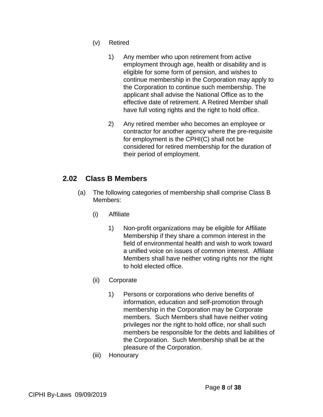- (v) Retired
	- 1) Any member who upon retirement from active employment through age, health or disability and is eligible for some form of pension, and wishes to continue membership in the Corporation may apply to the Corporation to continue such membership. The applicant shall advise the National Office as to the effective date of retirement. A Retired Member shall have full voting rights and the right to hold office.
	- 2) Any retired member who becomes an employee or contractor for another agency where the pre-requisite for employment is the CPHI(C) shall not be considered for retired membership for the duration of their period of employment.

## **2.02 Class B Members**

- (a) The following categories of membership shall comprise Class B Members:
	- (i) Affiliate
		- 1) Non-profit organizations may be eligible for Affiliate Membership if they share a common interest in the field of environmental health and wish to work toward a unified voice on issues of common interest. Affiliate Members shall have neither voting rights nor the right to hold elected office.
	- (ii) Corporate
		- 1) Persons or corporations who derive benefits of information, education and self-promotion through membership in the Corporation may be Corporate members. Such Members shall have neither voting privileges nor the right to hold office, nor shall such members be responsible for the debts and liabilities of the Corporation. Such Membership shall be at the pleasure of the Corporation.
	- (iii) Honourary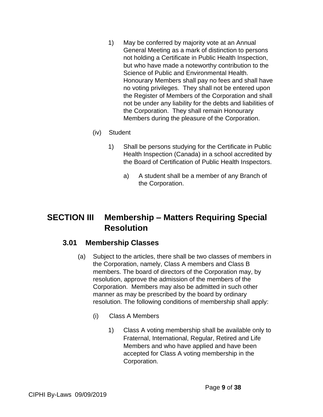- 1) May be conferred by majority vote at an Annual General Meeting as a mark of distinction to persons not holding a Certificate in Public Health Inspection, but who have made a noteworthy contribution to the Science of Public and Environmental Health. Honourary Members shall pay no fees and shall have no voting privileges. They shall not be entered upon the Register of Members of the Corporation and shall not be under any liability for the debts and liabilities of the Corporation. They shall remain Honourary Members during the pleasure of the Corporation.
- (iv) Student
	- 1) Shall be persons studying for the Certificate in Public Health Inspection (Canada) in a school accredited by the Board of Certification of Public Health Inspectors.
		- a) A student shall be a member of any Branch of the Corporation.

# **SECTION III Membership – Matters Requiring Special Resolution**

#### **3.01 Membership Classes**

- (a) Subject to the articles, there shall be two classes of members in the Corporation, namely, Class A members and Class B members. The board of directors of the Corporation may, by resolution, approve the admission of the members of the Corporation. Members may also be admitted in such other manner as may be prescribed by the board by ordinary resolution. The following conditions of membership shall apply:
	- (i) Class A Members
		- 1) Class A voting membership shall be available only to Fraternal, International, Regular, Retired and Life Members and who have applied and have been accepted for Class A voting membership in the Corporation.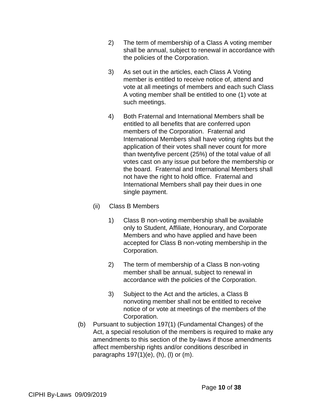- 2) The term of membership of a Class A voting member shall be annual, subject to renewal in accordance with the policies of the Corporation.
- 3) As set out in the articles, each Class A Voting member is entitled to receive notice of, attend and vote at all meetings of members and each such Class A voting member shall be entitled to one (1) vote at such meetings.
- 4) Both Fraternal and International Members shall be entitled to all benefits that are conferred upon members of the Corporation. Fraternal and International Members shall have voting rights but the application of their votes shall never count for more than twentyfive percent (25%) of the total value of all votes cast on any issue put before the membership or the board. Fraternal and International Members shall not have the right to hold office. Fraternal and International Members shall pay their dues in one single payment.
- (ii) Class B Members
	- 1) Class B non-voting membership shall be available only to Student, Affiliate, Honourary, and Corporate Members and who have applied and have been accepted for Class B non-voting membership in the Corporation.
	- 2) The term of membership of a Class B non-voting member shall be annual, subject to renewal in accordance with the policies of the Corporation.
	- 3) Subject to the Act and the articles, a Class B nonvoting member shall not be entitled to receive notice of or vote at meetings of the members of the Corporation.
- (b) Pursuant to subjection 197(1) (Fundamental Changes) of the Act, a special resolution of the members is required to make any amendments to this section of the by-laws if those amendments affect membership rights and/or conditions described in paragraphs 197(1)(e), (h), (l) or (m).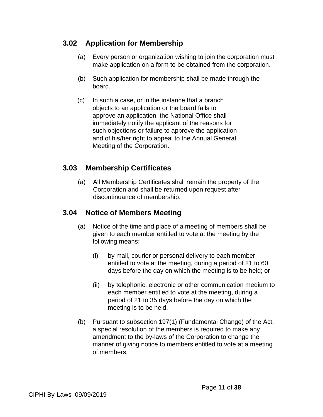## **3.02 Application for Membership**

- (a) Every person or organization wishing to join the corporation must make application on a form to be obtained from the corporation.
- (b) Such application for membership shall be made through the board.
- (c) In such a case, or in the instance that a branch objects to an application or the board fails to approve an application, the National Office shall immediately notify the applicant of the reasons for such objections or failure to approve the application and of his/her right to appeal to the Annual General Meeting of the Corporation.

### **3.03 Membership Certificates**

(a) All Membership Certificates shall remain the property of the Corporation and shall be returned upon request after discontinuance of membership.

### **3.04 Notice of Members Meeting**

- (a) Notice of the time and place of a meeting of members shall be given to each member entitled to vote at the meeting by the following means:
	- (i) by mail, courier or personal delivery to each member entitled to vote at the meeting, during a period of 21 to 60 days before the day on which the meeting is to be held; or
	- (ii) by telephonic, electronic or other communication medium to each member entitled to vote at the meeting, during a period of 21 to 35 days before the day on which the meeting is to be held.
- (b) Pursuant to subsection 197(1) (Fundamental Change) of the Act, a special resolution of the members is required to make any amendment to the by-laws of the Corporation to change the manner of giving notice to members entitled to vote at a meeting of members.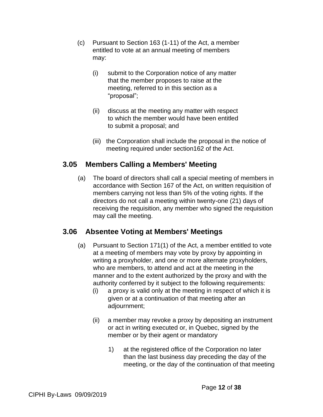- (c) Pursuant to Section 163 (1-11) of the Act, a member entitled to vote at an annual meeting of members may:
	- (i) submit to the Corporation notice of any matter that the member proposes to raise at the meeting, referred to in this section as a "proposal";
	- (ii) discuss at the meeting any matter with respect to which the member would have been entitled to submit a proposal; and
	- (iii) the Corporation shall include the proposal in the notice of meeting required under section162 of the Act.

## **3.05 Members Calling a Members' Meeting**

(a) The board of directors shall call a special meeting of members in accordance with Section 167 of the Act, on written requisition of members carrying not less than 5% of the voting rights. If the directors do not call a meeting within twenty-one (21) days of receiving the requisition, any member who signed the requisition may call the meeting.

### **3.06 Absentee Voting at Members' Meetings**

- (a) Pursuant to Section 171(1) of the Act, a member entitled to vote at a meeting of members may vote by proxy by appointing in writing a proxyholder, and one or more alternate proxyholders, who are members, to attend and act at the meeting in the manner and to the extent authorized by the proxy and with the authority conferred by it subject to the following requirements:
	- (i) a proxy is valid only at the meeting in respect of which it is given or at a continuation of that meeting after an adjournment;
	- (ii) a member may revoke a proxy by depositing an instrument or act in writing executed or, in Quebec, signed by the member or by their agent or mandatory
		- 1) at the registered office of the Corporation no later than the last business day preceding the day of the meeting, or the day of the continuation of that meeting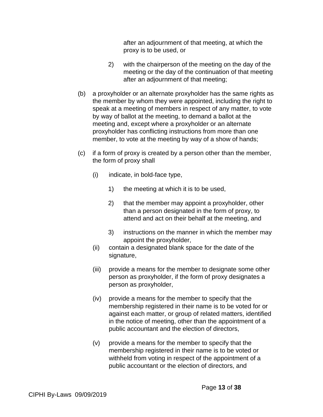after an adjournment of that meeting, at which the proxy is to be used, or

- 2) with the chairperson of the meeting on the day of the meeting or the day of the continuation of that meeting after an adjournment of that meeting;
- (b) a proxyholder or an alternate proxyholder has the same rights as the member by whom they were appointed, including the right to speak at a meeting of members in respect of any matter, to vote by way of ballot at the meeting, to demand a ballot at the meeting and, except where a proxyholder or an alternate proxyholder has conflicting instructions from more than one member, to vote at the meeting by way of a show of hands;
- (c) if a form of proxy is created by a person other than the member, the form of proxy shall
	- $(i)$  indicate, in bold-face type,
		- 1) the meeting at which it is to be used,
		- 2) that the member may appoint a proxyholder, other than a person designated in the form of proxy, to attend and act on their behalf at the meeting, and
		- 3) instructions on the manner in which the member may appoint the proxyholder,
	- (ii) contain a designated blank space for the date of the signature,
	- (iii) provide a means for the member to designate some other person as proxyholder, if the form of proxy designates a person as proxyholder,
	- (iv) provide a means for the member to specify that the membership registered in their name is to be voted for or against each matter, or group of related matters, identified in the notice of meeting, other than the appointment of a public accountant and the election of directors,
	- (v) provide a means for the member to specify that the membership registered in their name is to be voted or withheld from voting in respect of the appointment of a public accountant or the election of directors, and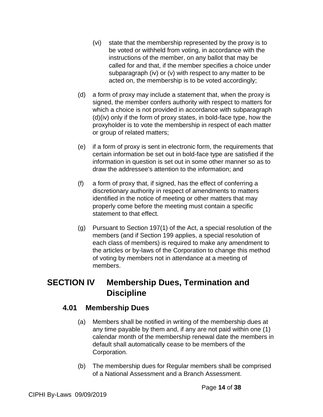- (vi) state that the membership represented by the proxy is to be voted or withheld from voting, in accordance with the instructions of the member, on any ballot that may be called for and that, if the member specifies a choice under subparagraph (iv) or (v) with respect to any matter to be acted on, the membership is to be voted accordingly;
- (d) a form of proxy may include a statement that, when the proxy is signed, the member confers authority with respect to matters for which a choice is not provided in accordance with subparagraph (d)(iv) only if the form of proxy states, in bold-face type, how the proxyholder is to vote the membership in respect of each matter or group of related matters;
- (e) if a form of proxy is sent in electronic form, the requirements that certain information be set out in bold-face type are satisfied if the information in question is set out in some other manner so as to draw the addressee's attention to the information; and
- (f) a form of proxy that, if signed, has the effect of conferring a discretionary authority in respect of amendments to matters identified in the notice of meeting or other matters that may properly come before the meeting must contain a specific statement to that effect.
- (g) Pursuant to Section 197(1) of the Act, a special resolution of the members (and if Section 199 applies, a special resolution of each class of members) is required to make any amendment to the articles or by-laws of the Corporation to change this method of voting by members not in attendance at a meeting of members.

# **SECTION IV Membership Dues, Termination and Discipline**

### **4.01 Membership Dues**

- (a) Members shall be notified in writing of the membership dues at any time payable by them and, if any are not paid within one (1) calendar month of the membership renewal date the members in default shall automatically cease to be members of the Corporation.
- (b) The membership dues for Regular members shall be comprised of a National Assessment and a Branch Assessment.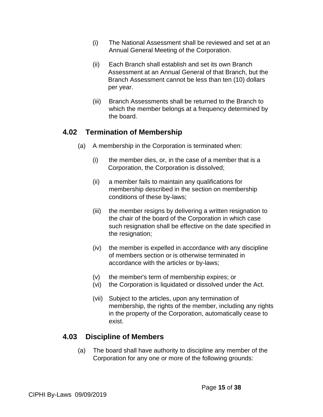- (i) The National Assessment shall be reviewed and set at an Annual General Meeting of the Corporation.
- (ii) Each Branch shall establish and set its own Branch Assessment at an Annual General of that Branch, but the Branch Assessment cannot be less than ten (10) dollars per year.
- (iii) Branch Assessments shall be returned to the Branch to which the member belongs at a frequency determined by the board.

#### **4.02 Termination of Membership**

- (a) A membership in the Corporation is terminated when:
	- (i) the member dies, or, in the case of a member that is a Corporation, the Corporation is dissolved;
	- (ii) a member fails to maintain any qualifications for membership described in the section on membership conditions of these by-laws;
	- (iii) the member resigns by delivering a written resignation to the chair of the board of the Corporation in which case such resignation shall be effective on the date specified in the resignation;
	- (iv) the member is expelled in accordance with any discipline of members section or is otherwise terminated in accordance with the articles or by-laws;
	- (v) the member's term of membership expires; or
	- (vi) the Corporation is liquidated or dissolved under the Act.
	- (vii) Subject to the articles, upon any termination of membership, the rights of the member, including any rights in the property of the Corporation, automatically cease to exist.

# **4.03 Discipline of Members**

(a) The board shall have authority to discipline any member of the Corporation for any one or more of the following grounds: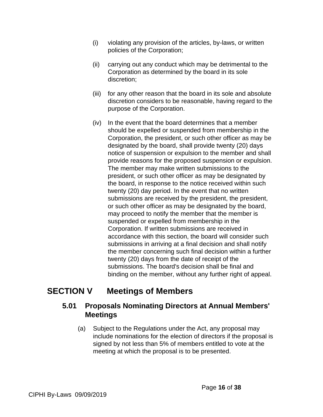- (i) violating any provision of the articles, by-laws, or written policies of the Corporation;
- (ii) carrying out any conduct which may be detrimental to the Corporation as determined by the board in its sole discretion;
- (iii) for any other reason that the board in its sole and absolute discretion considers to be reasonable, having regard to the purpose of the Corporation.
- (iv) In the event that the board determines that a member should be expelled or suspended from membership in the Corporation, the president, or such other officer as may be designated by the board, shall provide twenty (20) days notice of suspension or expulsion to the member and shall provide reasons for the proposed suspension or expulsion. The member may make written submissions to the president, or such other officer as may be designated by the board, in response to the notice received within such twenty (20) day period. In the event that no written submissions are received by the president, the president, or such other officer as may be designated by the board, may proceed to notify the member that the member is suspended or expelled from membership in the Corporation. If written submissions are received in accordance with this section, the board will consider such submissions in arriving at a final decision and shall notify the member concerning such final decision within a further twenty (20) days from the date of receipt of the submissions. The board's decision shall be final and binding on the member, without any further right of appeal.

# **SECTION V Meetings of Members**

## **5.01 Proposals Nominating Directors at Annual Members' Meetings**

(a) Subject to the Regulations under the Act, any proposal may include nominations for the election of directors if the proposal is signed by not less than 5% of members entitled to vote at the meeting at which the proposal is to be presented.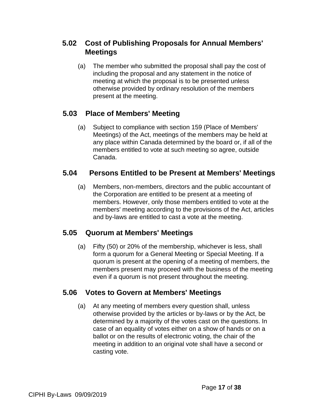# **5.02 Cost of Publishing Proposals for Annual Members' Meetings**

(a) The member who submitted the proposal shall pay the cost of including the proposal and any statement in the notice of meeting at which the proposal is to be presented unless otherwise provided by ordinary resolution of the members present at the meeting.

# **5.03 Place of Members' Meeting**

(a) Subject to compliance with section 159 (Place of Members' Meetings) of the Act, meetings of the members may be held at any place within Canada determined by the board or, if all of the members entitled to vote at such meeting so agree, outside Canada.

### **5.04 Persons Entitled to be Present at Members' Meetings**

(a) Members, non-members, directors and the public accountant of the Corporation are entitled to be present at a meeting of members. However, only those members entitled to vote at the members' meeting according to the provisions of the Act, articles and by-laws are entitled to cast a vote at the meeting.

# **5.05 Quorum at Members' Meetings**

(a) Fifty (50) or 20% of the membership, whichever is less, shall form a quorum for a General Meeting or Special Meeting. If a quorum is present at the opening of a meeting of members, the members present may proceed with the business of the meeting even if a quorum is not present throughout the meeting.

# **5.06 Votes to Govern at Members' Meetings**

(a) At any meeting of members every question shall, unless otherwise provided by the articles or by-laws or by the Act, be determined by a majority of the votes cast on the questions. In case of an equality of votes either on a show of hands or on a ballot or on the results of electronic voting, the chair of the meeting in addition to an original vote shall have a second or casting vote.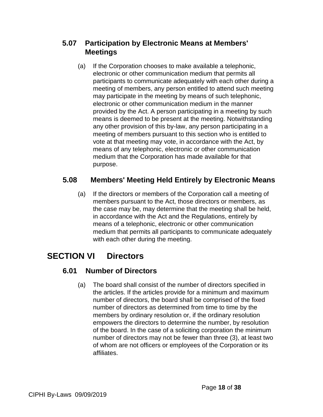# **5.07 Participation by Electronic Means at Members' Meetings**

(a) If the Corporation chooses to make available a telephonic, electronic or other communication medium that permits all participants to communicate adequately with each other during a meeting of members, any person entitled to attend such meeting may participate in the meeting by means of such telephonic, electronic or other communication medium in the manner provided by the Act. A person participating in a meeting by such means is deemed to be present at the meeting. Notwithstanding any other provision of this by-law, any person participating in a meeting of members pursuant to this section who is entitled to vote at that meeting may vote, in accordance with the Act, by means of any telephonic, electronic or other communication medium that the Corporation has made available for that purpose.

## **5.08 Members' Meeting Held Entirely by Electronic Means**

(a) If the directors or members of the Corporation call a meeting of members pursuant to the Act, those directors or members, as the case may be, may determine that the meeting shall be held, in accordance with the Act and the Regulations, entirely by means of a telephonic, electronic or other communication medium that permits all participants to communicate adequately with each other during the meeting.

# **SECTION VI Directors**

# **6.01 Number of Directors**

(a) The board shall consist of the number of directors specified in the articles. If the articles provide for a minimum and maximum number of directors, the board shall be comprised of the fixed number of directors as determined from time to time by the members by ordinary resolution or, if the ordinary resolution empowers the directors to determine the number, by resolution of the board. In the case of a soliciting corporation the minimum number of directors may not be fewer than three (3), at least two of whom are not officers or employees of the Corporation or its affiliates.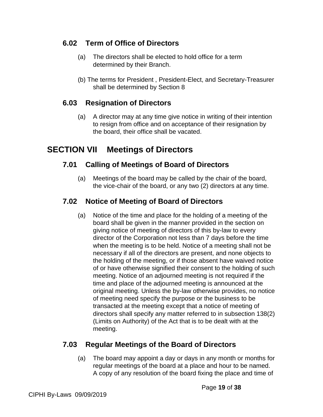## **6.02 Term of Office of Directors**

- (a) The directors shall be elected to hold office for a term determined by their Branch.
- (b) The terms for President , President-Elect, and Secretary-Treasurer shall be determined by Section 8

### **6.03 Resignation of Directors**

(a) A director may at any time give notice in writing of their intention to resign from office and on acceptance of their resignation by the board, their office shall be vacated.

# **SECTION VII Meetings of Directors**

## **7.01 Calling of Meetings of Board of Directors**

(a) Meetings of the board may be called by the chair of the board, the vice-chair of the board, or any two (2) directors at any time.

## **7.02 Notice of Meeting of Board of Directors**

(a) Notice of the time and place for the holding of a meeting of the board shall be given in the manner provided in the section on giving notice of meeting of directors of this by-law to every director of the Corporation not less than 7 days before the time when the meeting is to be held. Notice of a meeting shall not be necessary if all of the directors are present, and none objects to the holding of the meeting, or if those absent have waived notice of or have otherwise signified their consent to the holding of such meeting. Notice of an adjourned meeting is not required if the time and place of the adjourned meeting is announced at the original meeting. Unless the by-law otherwise provides, no notice of meeting need specify the purpose or the business to be transacted at the meeting except that a notice of meeting of directors shall specify any matter referred to in subsection 138(2) (Limits on Authority) of the Act that is to be dealt with at the meeting.

### **7.03 Regular Meetings of the Board of Directors**

(a) The board may appoint a day or days in any month or months for regular meetings of the board at a place and hour to be named. A copy of any resolution of the board fixing the place and time of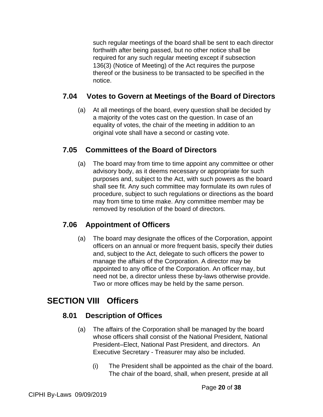such regular meetings of the board shall be sent to each director forthwith after being passed, but no other notice shall be required for any such regular meeting except if subsection 136(3) (Notice of Meeting) of the Act requires the purpose thereof or the business to be transacted to be specified in the notice.

### **7.04 Votes to Govern at Meetings of the Board of Directors**

(a) At all meetings of the board, every question shall be decided by a majority of the votes cast on the question. In case of an equality of votes, the chair of the meeting in addition to an original vote shall have a second or casting vote.

### **7.05 Committees of the Board of Directors**

(a) The board may from time to time appoint any committee or other advisory body, as it deems necessary or appropriate for such purposes and, subject to the Act, with such powers as the board shall see fit. Any such committee may formulate its own rules of procedure, subject to such regulations or directions as the board may from time to time make. Any committee member may be removed by resolution of the board of directors.

### **7.06 Appointment of Officers**

(a) The board may designate the offices of the Corporation, appoint officers on an annual or more frequent basis, specify their duties and, subject to the Act, delegate to such officers the power to manage the affairs of the Corporation. A director may be appointed to any office of the Corporation. An officer may, but need not be, a director unless these by-laws otherwise provide. Two or more offices may be held by the same person.

# **SECTION VIII Officers**

### **8.01 Description of Offices**

- (a) The affairs of the Corporation shall be managed by the board whose officers shall consist of the National President, National President–Elect, National Past President, and directors. An Executive Secretary - Treasurer may also be included.
	- (i) The President shall be appointed as the chair of the board. The chair of the board, shall, when present, preside at all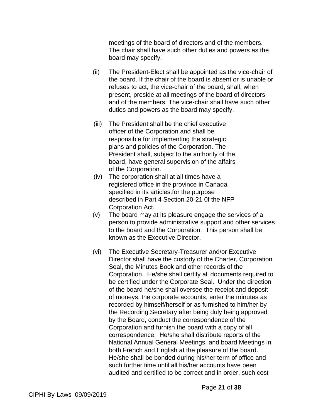meetings of the board of directors and of the members. The chair shall have such other duties and powers as the board may specify.

- (ii) The President-Elect shall be appointed as the vice-chair of the board. If the chair of the board is absent or is unable or refuses to act, the vice-chair of the board, shall, when present, preside at all meetings of the board of directors and of the members. The vice-chair shall have such other duties and powers as the board may specify.
- (iii) The President shall be the chief executive officer of the Corporation and shall be responsible for implementing the strategic plans and policies of the Corporation. The President shall, subject to the authority of the board, have general supervision of the affairs of the Corporation.
- (iv) The corporation shall at all times have a registered office in the province in Canada specified in its articles.for the purpose described in Part 4 Section 20-21 0f the NFP Corporation Act.
- (v) The board may at its pleasure engage the services of a person to provide administrative support and other services to the board and the Corporation. This person shall be known as the Executive Director.
- (vi) The Executive Secretary-Treasurer and/or Executive Director shall have the custody of the Charter, Corporation Seal, the Minutes Book and other records of the Corporation. He/she shall certify all documents required to be certified under the Corporate Seal. Under the direction of the board he/she shall oversee the receipt and deposit of moneys, the corporate accounts, enter the minutes as recorded by himself/herself or as furnished to him/her by the Recording Secretary after being duly being approved by the Board, conduct the correspondence of the Corporation and furnish the board with a copy of all correspondence. He/she shall distribute reports of the National Annual General Meetings, and board Meetings in both French and English at the pleasure of the board. He/she shall be bonded during his/her term of office and such further time until all his/her accounts have been audited and certified to be correct and in order, such cost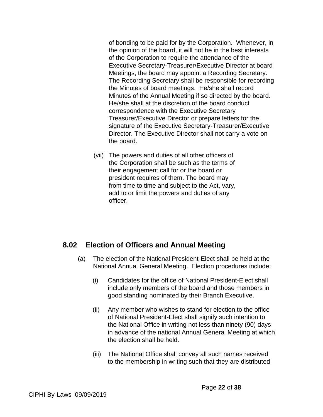of bonding to be paid for by the Corporation. Whenever, in the opinion of the board, it will not be in the best interests of the Corporation to require the attendance of the Executive Secretary-Treasurer/Executive Director at board Meetings, the board may appoint a Recording Secretary. The Recording Secretary shall be responsible for recording the Minutes of board meetings. He/she shall record Minutes of the Annual Meeting if so directed by the board. He/she shall at the discretion of the board conduct correspondence with the Executive Secretary Treasurer/Executive Director or prepare letters for the signature of the Executive Secretary-Treasurer/Executive Director. The Executive Director shall not carry a vote on the board.

(vii) The powers and duties of all other officers of the Corporation shall be such as the terms of their engagement call for or the board or president requires of them. The board may from time to time and subject to the Act, vary, add to or limit the powers and duties of any officer.

### **8.02 Election of Officers and Annual Meeting**

- (a) The election of the National President-Elect shall be held at the National Annual General Meeting. Election procedures include:
	- (i) Candidates for the office of National President-Elect shall include only members of the board and those members in good standing nominated by their Branch Executive.
	- (ii) Any member who wishes to stand for election to the office of National President-Elect shall signify such intention to the National Office in writing not less than ninety (90) days in advance of the national Annual General Meeting at which the election shall be held.
	- (iii) The National Office shall convey all such names received to the membership in writing such that they are distributed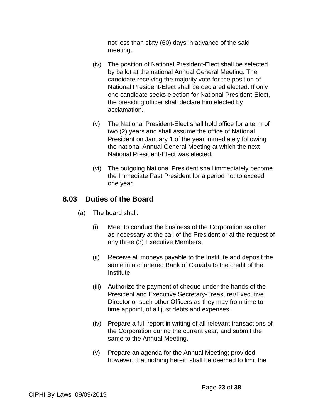not less than sixty (60) days in advance of the said meeting.

- (iv) The position of National President-Elect shall be selected by ballot at the national Annual General Meeting. The candidate receiving the majority vote for the position of National President-Elect shall be declared elected. If only one candidate seeks election for National President-Elect, the presiding officer shall declare him elected by acclamation.
- (v) The National President-Elect shall hold office for a term of two (2) years and shall assume the office of National President on January 1 of the year immediately following the national Annual General Meeting at which the next National President-Elect was elected.
- (vi) The outgoing National President shall immediately become the Immediate Past President for a period not to exceed one year.

#### **8.03 Duties of the Board**

- (a) The board shall:
	- (i) Meet to conduct the business of the Corporation as often as necessary at the call of the President or at the request of any three (3) Executive Members.
	- (ii) Receive all moneys payable to the Institute and deposit the same in a chartered Bank of Canada to the credit of the Institute.
	- (iii) Authorize the payment of cheque under the hands of the President and Executive Secretary-Treasurer/Executive Director or such other Officers as they may from time to time appoint, of all just debts and expenses.
	- (iv) Prepare a full report in writing of all relevant transactions of the Corporation during the current year, and submit the same to the Annual Meeting.
	- (v) Prepare an agenda for the Annual Meeting; provided, however, that nothing herein shall be deemed to limit the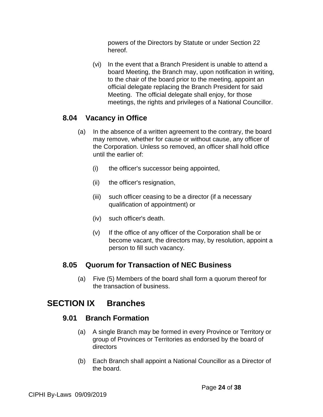powers of the Directors by Statute or under Section 22 hereof.

(vi) In the event that a Branch President is unable to attend a board Meeting, the Branch may, upon notification in writing, to the chair of the board prior to the meeting, appoint an official delegate replacing the Branch President for said Meeting. The official delegate shall enjoy, for those meetings, the rights and privileges of a National Councillor.

#### **8.04 Vacancy in Office**

- (a) In the absence of a written agreement to the contrary, the board may remove, whether for cause or without cause, any officer of the Corporation. Unless so removed, an officer shall hold office until the earlier of:
	- (i) the officer's successor being appointed,
	- (ii) the officer's resignation,
	- (iii) such officer ceasing to be a director (if a necessary qualification of appointment) or
	- (iv) such officer's death.
	- (v) If the office of any officer of the Corporation shall be or become vacant, the directors may, by resolution, appoint a person to fill such vacancy.

#### **8.05 Quorum for Transaction of NEC Business**

(a) Five (5) Members of the board shall form a quorum thereof for the transaction of business.

# **SECTION IX Branches**

#### **9.01 Branch Formation**

- (a) A single Branch may be formed in every Province or Territory or group of Provinces or Territories as endorsed by the board of directors
- (b) Each Branch shall appoint a National Councillor as a Director of the board.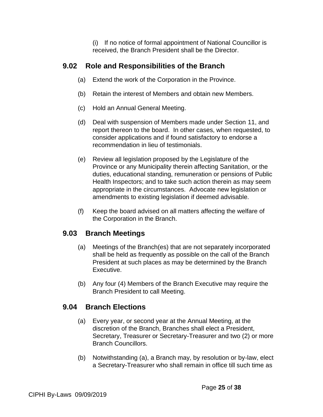(i) If no notice of formal appointment of National Councillor is received, the Branch President shall be the Director.

#### **9.02 Role and Responsibilities of the Branch**

- (a) Extend the work of the Corporation in the Province.
- (b) Retain the interest of Members and obtain new Members.
- (c) Hold an Annual General Meeting.
- (d) Deal with suspension of Members made under Section 11, and report thereon to the board. In other cases, when requested, to consider applications and if found satisfactory to endorse a recommendation in lieu of testimonials.
- (e) Review all legislation proposed by the Legislature of the Province or any Municipality therein affecting Sanitation, or the duties, educational standing, remuneration or pensions of Public Health Inspectors; and to take such action therein as may seem appropriate in the circumstances. Advocate new legislation or amendments to existing legislation if deemed advisable.
- (f) Keep the board advised on all matters affecting the welfare of the Corporation in the Branch.

#### **9.03 Branch Meetings**

- (a) Meetings of the Branch(es) that are not separately incorporated shall be held as frequently as possible on the call of the Branch President at such places as may be determined by the Branch Executive.
- (b) Any four (4) Members of the Branch Executive may require the Branch President to call Meeting.

#### **9.04 Branch Elections**

- (a) Every year, or second year at the Annual Meeting, at the discretion of the Branch, Branches shall elect a President, Secretary, Treasurer or Secretary-Treasurer and two (2) or more Branch Councillors.
- (b) Notwithstanding (a), a Branch may, by resolution or by-law, elect a Secretary-Treasurer who shall remain in office till such time as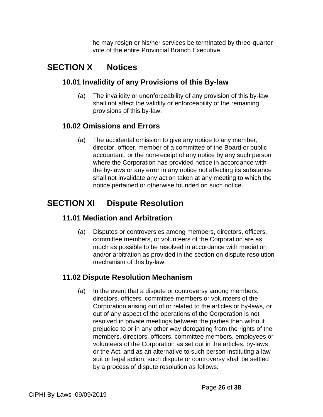he may resign or his/her services be terminated by three-quarter vote of the entire Provincial Branch Executive.

# **SECTION X Notices**

### **10.01 Invalidity of any Provisions of this By-law**

(a) The invalidity or unenforceability of any provision of this by-law shall not affect the validity or enforceability of the remaining provisions of this by-law.

### **10.02 Omissions and Errors**

(a) The accidental omission to give any notice to any member, director, officer, member of a committee of the Board or public accountant, or the non-receipt of any notice by any such person where the Corporation has provided notice in accordance with the by-laws or any error in any notice not affecting its substance shall not invalidate any action taken at any meeting to which the notice pertained or otherwise founded on such notice.

# **SECTION XI Dispute Resolution**

### **11.01 Mediation and Arbitration**

(a) Disputes or controversies among members, directors, officers, committee members, or volunteers of the Corporation are as much as possible to be resolved in accordance with mediation and/or arbitration as provided in the section on dispute resolution mechanism of this by-law.

# **11.02 Dispute Resolution Mechanism**

(a) In the event that a dispute or controversy among members, directors, officers, committee members or volunteers of the Corporation arising out of or related to the articles or by-laws, or out of any aspect of the operations of the Corporation is not resolved in private meetings between the parties then without prejudice to or in any other way derogating from the rights of the members, directors, officers, committee members, employees or volunteers of the Corporation as set out in the articles, by-laws or the Act, and as an alternative to such person instituting a law suit or legal action, such dispute or controversy shall be settled by a process of dispute resolution as follows: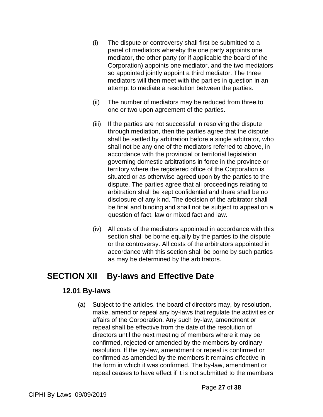- (i) The dispute or controversy shall first be submitted to a panel of mediators whereby the one party appoints one mediator, the other party (or if applicable the board of the Corporation) appoints one mediator, and the two mediators so appointed jointly appoint a third mediator. The three mediators will then meet with the parties in question in an attempt to mediate a resolution between the parties.
- (ii) The number of mediators may be reduced from three to one or two upon agreement of the parties.
- (iii) If the parties are not successful in resolving the dispute through mediation, then the parties agree that the dispute shall be settled by arbitration before a single arbitrator, who shall not be any one of the mediators referred to above, in accordance with the provincial or territorial legislation governing domestic arbitrations in force in the province or territory where the registered office of the Corporation is situated or as otherwise agreed upon by the parties to the dispute. The parties agree that all proceedings relating to arbitration shall be kept confidential and there shall be no disclosure of any kind. The decision of the arbitrator shall be final and binding and shall not be subject to appeal on a question of fact, law or mixed fact and law.
- (iv) All costs of the mediators appointed in accordance with this section shall be borne equally by the parties to the dispute or the controversy. All costs of the arbitrators appointed in accordance with this section shall be borne by such parties as may be determined by the arbitrators.

# **SECTION XII By-laws and Effective Date**

#### **12.01 By-laws**

(a) Subject to the articles, the board of directors may, by resolution, make, amend or repeal any by-laws that regulate the activities or affairs of the Corporation. Any such by-law, amendment or repeal shall be effective from the date of the resolution of directors until the next meeting of members where it may be confirmed, rejected or amended by the members by ordinary resolution. If the by-law, amendment or repeal is confirmed or confirmed as amended by the members it remains effective in the form in which it was confirmed. The by-law, amendment or repeal ceases to have effect if it is not submitted to the members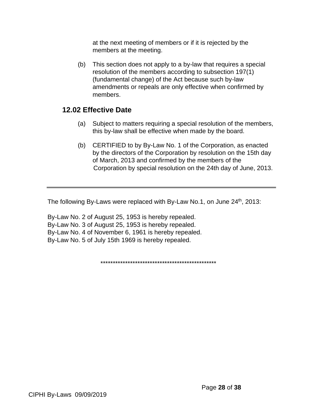at the next meeting of members or if it is rejected by the members at the meeting.

(b) This section does not apply to a by-law that requires a special resolution of the members according to subsection 197(1) (fundamental change) of the Act because such by-law amendments or repeals are only effective when confirmed by members.

#### **12.02 Effective Date**

- (a) Subject to matters requiring a special resolution of the members, this by-law shall be effective when made by the board.
- (b) CERTIFIED to by By-Law No. 1 of the Corporation, as enacted by the directors of the Corporation by resolution on the 15th day of March, 2013 and confirmed by the members of the Corporation by special resolution on the 24th day of June, 2013.

The following By-Laws were replaced with By-Law No.1, on June  $24<sup>th</sup>$ , 2013:

By-Law No. 2 of August 25, 1953 is hereby repealed. By-Law No. 3 of August 25, 1953 is hereby repealed. By-Law No. 4 of November 6, 1961 is hereby repealed. By-Law No. 5 of July 15th 1969 is hereby repealed.

\*\*\*\*\*\*\*\*\*\*\*\*\*\*\*\*\*\*\*\*\*\*\*\*\*\*\*\*\*\*\*\*\*\*\*\*\*\*\*\*\*\*\*\*\*\*\*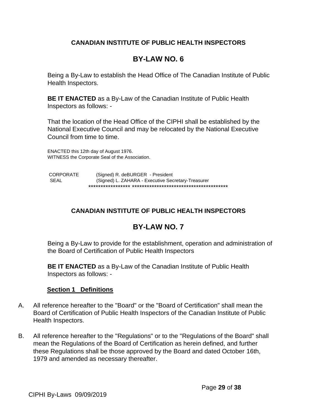#### **CANADIAN INSTITUTE OF PUBLIC HEALTH INSPECTORS**

## **BY-LAW NO. 6**

Being a By-Law to establish the Head Office of The Canadian Institute of Public Health Inspectors.

**BE IT ENACTED** as a By-Law of the Canadian Institute of Public Health Inspectors as follows: -

That the location of the Head Office of the CIPHI shall be established by the National Executive Council and may be relocated by the National Executive Council from time to time.

ENACTED this 12th day of August 1976. WITNESS the Corporate Seal of the Association.

 CORPORATE (Signed) R. deBURGER - President SEAL (Signed) L. ZAHARA - Executive Secretary-Treasurer \*\*\*\*\*\*\*\*\*\*\*\*\*\*\*\*\* \*\*\*\*\*\*\*\*\*\*\*\*\*\*\*\*\*\*\*\*\*\*\*\*\*\*\*\*\*\*\*\*\*\*\*\*\*\*\*

### **CANADIAN INSTITUTE OF PUBLIC HEALTH INSPECTORS**

# **BY-LAW NO. 7**

Being a By-Law to provide for the establishment, operation and administration of the Board of Certification of Public Health Inspectors

**BE IT ENACTED** as a By-Law of the Canadian Institute of Public Health Inspectors as follows: -

#### **Section 1 Definitions**

- A. All reference hereafter to the "Board" or the "Board of Certification" shall mean the Board of Certification of Public Health Inspectors of the Canadian Institute of Public Health Inspectors.
- B. All reference hereafter to the "Regulations" or to the "Regulations of the Board" shall mean the Regulations of the Board of Certification as herein defined, and further these Regulations shall be those approved by the Board and dated October 16th, 1979 and amended as necessary thereafter.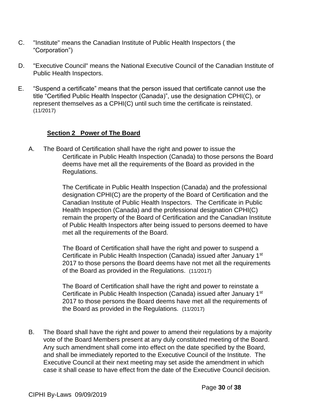- C. "Institute" means the Canadian Institute of Public Health Inspectors ( the "Corporation")
- D. "Executive Council" means the National Executive Council of the Canadian Institute of Public Health Inspectors.
- E. "Suspend a certificate" means that the person issued that certificate cannot use the title "Certified Public Health Inspector (Canada)", use the designation CPHI(C), or represent themselves as a CPHI(C) until such time the certificate is reinstated. (11/2017)

#### **Section 2 Power of The Board**

A. The Board of Certification shall have the right and power to issue the Certificate in Public Health Inspection (Canada) to those persons the Board deems have met all the requirements of the Board as provided in the Regulations.

> The Certificate in Public Health Inspection (Canada) and the professional designation CPHI(C) are the property of the Board of Certification and the Canadian Institute of Public Health Inspectors. The Certificate in Public Health Inspection (Canada) and the professional designation CPHI(C) remain the property of the Board of Certification and the Canadian Institute of Public Health Inspectors after being issued to persons deemed to have met all the requirements of the Board.

> The Board of Certification shall have the right and power to suspend a Certificate in Public Health Inspection (Canada) issued after January 1<sup>st</sup> 2017 to those persons the Board deems have not met all the requirements of the Board as provided in the Regulations. (11/2017)

The Board of Certification shall have the right and power to reinstate a Certificate in Public Health Inspection (Canada) issued after January 1<sup>st</sup> 2017 to those persons the Board deems have met all the requirements of the Board as provided in the Regulations. (11/2017)

B. The Board shall have the right and power to amend their regulations by a majority vote of the Board Members present at any duly constituted meeting of the Board. Any such amendment shall come into effect on the date specified by the Board, and shall be immediately reported to the Executive Council of the Institute. The Executive Council at their next meeting may set aside the amendment in which case it shall cease to have effect from the date of the Executive Council decision.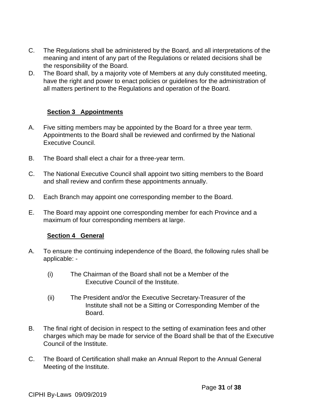- C. The Regulations shall be administered by the Board, and all interpretations of the meaning and intent of any part of the Regulations or related decisions shall be the responsibility of the Board.
- D. The Board shall, by a majority vote of Members at any duly constituted meeting, have the right and power to enact policies or guidelines for the administration of all matters pertinent to the Regulations and operation of the Board.

#### **Section 3 Appointments**

- A. Five sitting members may be appointed by the Board for a three year term. Appointments to the Board shall be reviewed and confirmed by the National Executive Council.
- B. The Board shall elect a chair for a three-year term.
- C. The National Executive Council shall appoint two sitting members to the Board and shall review and confirm these appointments annually.
- D. Each Branch may appoint one corresponding member to the Board.
- E. The Board may appoint one corresponding member for each Province and a maximum of four corresponding members at large.

#### **Section 4 General**

- A. To ensure the continuing independence of the Board, the following rules shall be applicable: -
	- (i) The Chairman of the Board shall not be a Member of the Executive Council of the Institute.
	- (ii) The President and/or the Executive Secretary-Treasurer of the Institute shall not be a Sitting or Corresponding Member of the Board.
- B. The final right of decision in respect to the setting of examination fees and other charges which may be made for service of the Board shall be that of the Executive Council of the Institute.
- C. The Board of Certification shall make an Annual Report to the Annual General Meeting of the Institute.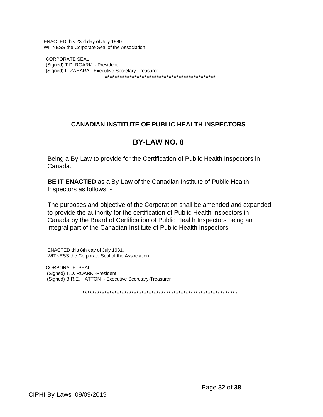ENACTED this 23rd day of July 1980 WITNESS the Corporate Seal of the Association

CORPORATE SEAL (Signed) T.D. ROARK - President (Signed) L. ZAHARA - Executive Secretary-Treasurer \*\*\*\*\*\*\*\*\*\*\*\*\*\*\*\*\*\*\*\*\*\*\*\*\*\*\*\*\*\*\*\*\*\*\*\*\*\*\*\*\*\*\*\*\*

#### **CANADIAN INSTITUTE OF PUBLIC HEALTH INSPECTORS**

#### **BY-LAW NO. 8**

Being a By-Law to provide for the Certification of Public Health Inspectors in Canada.

**BE IT ENACTED** as a By-Law of the Canadian Institute of Public Health Inspectors as follows: -

The purposes and objective of the Corporation shall be amended and expanded to provide the authority for the certification of Public Health Inspectors in Canada by the Board of Certification of Public Health Inspectors being an integral part of the Canadian Institute of Public Health Inspectors.

ENACTED this 8th day of July 1981. WITNESS the Corporate Seal of the Association

 CORPORATE SEAL (Signed) T.D. ROARK -President (Signed) B.R.E. HATTON - Executive Secretary-Treasurer

\*\*\*\*\*\*\*\*\*\*\*\*\*\*\*\*\*\*\*\*\*\*\*\*\*\*\*\*\*\*\*\*\*\*\*\*\*\*\*\*\*\*\*\*\*\*\*\*\*\*\*\*\*\*\*\*\*\*\*\*\*\*\*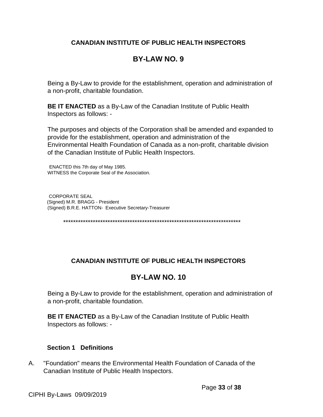#### **CANADIAN INSTITUTE OF PUBLIC HEALTH INSPECTORS**

# **BY-LAW NO. 9**

Being a By-Law to provide for the establishment, operation and administration of a non-profit, charitable foundation.

**BE IT ENACTED** as a By-Law of the Canadian Institute of Public Health Inspectors as follows: -

The purposes and objects of the Corporation shall be amended and expanded to provide for the establishment, operation and administration of the Environmental Health Foundation of Canada as a non-profit, charitable division of the Canadian Institute of Public Health Inspectors.

ENACTED this 7th day of May 1985. WITNESS the Corporate Seal of the Association.

 CORPORATE SEAL (Signed) M.R. BRAGG - President (Signed) B.R.E. HATTON- Executive Secretary-Treasurer

\*\*\*\*\*\*\*\*\*\*\*\*\*\*\*\*\*\*\*\*\*\*\*\*\*\*\*\*\*\*\*\*\*\*\*\*\*\*\*\*\*\*\*\*\*\*\*\*\*\*\*\*\*\*\*\*\*\*\*\*\*\*\*\*\*\*\*\*\*\*\*\*

#### **CANADIAN INSTITUTE OF PUBLIC HEALTH INSPECTORS**

# **BY-LAW NO. 10**

Being a By-Law to provide for the establishment, operation and administration of a non-profit, charitable foundation.

**BE IT ENACTED** as a By-Law of the Canadian Institute of Public Health Inspectors as follows: -

#### **Section 1 Definitions**

A. "Foundation" means the Environmental Health Foundation of Canada of the Canadian Institute of Public Health Inspectors.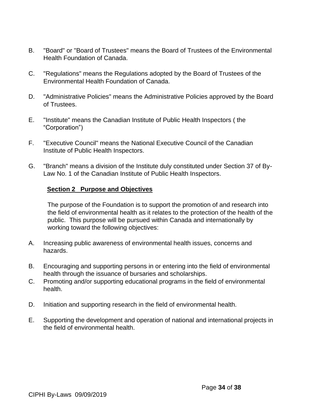- B. "Board" or "Board of Trustees" means the Board of Trustees of the Environmental Health Foundation of Canada.
- C. "Regulations" means the Regulations adopted by the Board of Trustees of the Environmental Health Foundation of Canada.
- D. "Administrative Policies" means the Administrative Policies approved by the Board of Trustees.
- E. "Institute" means the Canadian Institute of Public Health Inspectors ( the "Corporation")
- F. "Executive Council" means the National Executive Council of the Canadian Institute of Public Health Inspectors.
- G. "Branch" means a division of the Institute duly constituted under Section 37 of By-Law No. 1 of the Canadian Institute of Public Health Inspectors.

#### **Section 2 Purpose and Objectives**

The purpose of the Foundation is to support the promotion of and research into the field of environmental health as it relates to the protection of the health of the public. This purpose will be pursued within Canada and internationally by working toward the following objectives:

- A. Increasing public awareness of environmental health issues, concerns and hazards.
- B. Encouraging and supporting persons in or entering into the field of environmental health through the issuance of bursaries and scholarships.
- C. Promoting and/or supporting educational programs in the field of environmental health.
- D. Initiation and supporting research in the field of environmental health.
- E. Supporting the development and operation of national and international projects in the field of environmental health.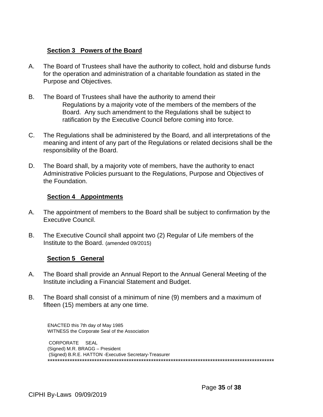#### **Section 3 Powers of the Board**

- A. The Board of Trustees shall have the authority to collect, hold and disburse funds for the operation and administration of a charitable foundation as stated in the Purpose and Objectives.
- B. The Board of Trustees shall have the authority to amend their Regulations by a majority vote of the members of the members of the Board. Any such amendment to the Regulations shall be subject to ratification by the Executive Council before coming into force.
- C. The Regulations shall be administered by the Board, and all interpretations of the meaning and intent of any part of the Regulations or related decisions shall be the responsibility of the Board.
- D. The Board shall, by a majority vote of members, have the authority to enact Administrative Policies pursuant to the Regulations, Purpose and Objectives of the Foundation.

#### **Section 4 Appointments**

- A. The appointment of members to the Board shall be subject to confirmation by the Executive Council.
- B. The Executive Council shall appoint two (2) Regular of Life members of the Institute to the Board. (amended 09/2015)

#### **Section 5 General**

- A. The Board shall provide an Annual Report to the Annual General Meeting of the Institute including a Financial Statement and Budget.
- B. The Board shall consist of a minimum of nine (9) members and a maximum of fifteen (15) members at any one time.

ENACTED this 7th day of May 1985 WITNESS the Corporate Seal of the Association

CORPORATE SEAL (Signed) M.R. BRAGG – President (Signed) B.R.E. HATTON -Executive Secretary-Treasurer \*\*\*\*\*\*\*\*\*\*\*\*\*\*\*\*\*\*\*\*\*\*\*\*\*\*\*\*\*\*\*\*\*\*\*\*\*\*\*\*\*\*\*\*\*\*\*\*\*\*\*\*\*\*\*\*\*\*\*\*\*\*\*\*\*\*\*\*\*\*\*\*\*\*\*\*\*\*\*\*\*\*\*\*\*\*\*\*\*\*\*\*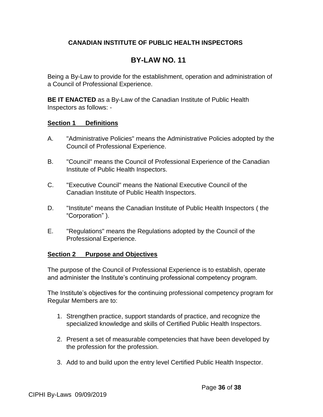#### **CANADIAN INSTITUTE OF PUBLIC HEALTH INSPECTORS**

# **BY-LAW NO. 11**

Being a By-Law to provide for the establishment, operation and administration of a Council of Professional Experience.

**BE IT ENACTED** as a By-Law of the Canadian Institute of Public Health Inspectors as follows: -

#### **Section 1 Definitions**

- A. "Administrative Policies" means the Administrative Policies adopted by the Council of Professional Experience.
- B. "Council" means the Council of Professional Experience of the Canadian Institute of Public Health Inspectors.
- C. "Executive Council" means the National Executive Council of the Canadian Institute of Public Health Inspectors.
- D. "Institute" means the Canadian Institute of Public Health Inspectors ( the "Corporation" ).
- E. "Regulations" means the Regulations adopted by the Council of the Professional Experience.

#### **Section 2 Purpose and Objectives**

The purpose of the Council of Professional Experience is to establish, operate and administer the Institute's continuing professional competency program.

The Institute's objectives for the continuing professional competency program for Regular Members are to:

- 1. Strengthen practice, support standards of practice, and recognize the specialized knowledge and skills of Certified Public Health Inspectors.
- 2. Present a set of measurable competencies that have been developed by the profession for the profession.
- 3. Add to and build upon the entry level Certified Public Health Inspector.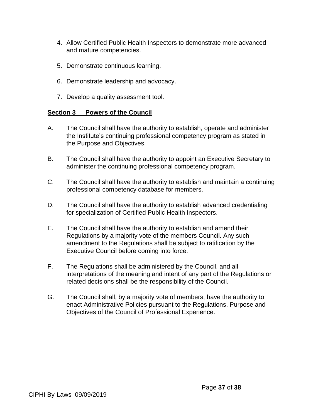- 4. Allow Certified Public Health Inspectors to demonstrate more advanced and mature competencies.
- 5. Demonstrate continuous learning.
- 6. Demonstrate leadership and advocacy.
- 7. Develop a quality assessment tool.

#### **Section 3 Powers of the Council**

- A. The Council shall have the authority to establish, operate and administer the Institute's continuing professional competency program as stated in the Purpose and Objectives.
- B. The Council shall have the authority to appoint an Executive Secretary to administer the continuing professional competency program.
- C. The Council shall have the authority to establish and maintain a continuing professional competency database for members.
- D. The Council shall have the authority to establish advanced credentialing for specialization of Certified Public Health Inspectors.
- E. The Council shall have the authority to establish and amend their Regulations by a majority vote of the members Council. Any such amendment to the Regulations shall be subject to ratification by the Executive Council before coming into force.
- F. The Regulations shall be administered by the Council, and all interpretations of the meaning and intent of any part of the Regulations or related decisions shall be the responsibility of the Council.
- G. The Council shall, by a majority vote of members, have the authority to enact Administrative Policies pursuant to the Regulations, Purpose and Objectives of the Council of Professional Experience.